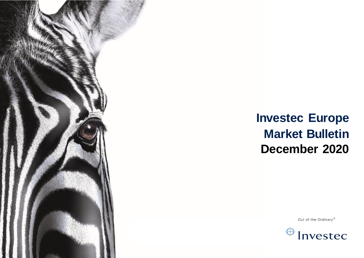

# **Investec Europe Market Bulletin December 2020**

Out of the Ordinary®

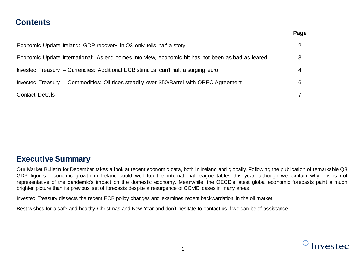### **Contents**

|                                                                                                   | Page |
|---------------------------------------------------------------------------------------------------|------|
| Economic Update Ireland: GDP recovery in Q3 only tells half a story                               |      |
| Economic Update International: As end comes into view, economic hit has not been as bad as feared | 3    |
| Investec Treasury – Currencies: Additional ECB stimulus can't halt a surging euro                 |      |
| Investec Treasury – Commodities: Oil rises steadily over \$50/Barrel with OPEC Agreement          | 6    |
| Contact Details                                                                                   |      |

### **Executive Summary**

Our Market Bulletin for December takes a look at recent economic data, both in Ireland and globally. Following the publication of remarkable Q3 GDP figures, economic growth in Ireland could well top the international league tables this year, although we explain why this is not representative of the pandemic's impact on the domestic economy. Meanwhile, the OECD's latest global economic forecasts paint a much brighter picture than its previous set of forecasts despite a resurgence of COVID cases in many areas.

Investec Treasury dissects the recent ECB policy changes and examines recent backwardation in the oil market.

Best wishes for a safe and healthy Christmas and New Year and don't hesitate to contact us if we can be of assistance.

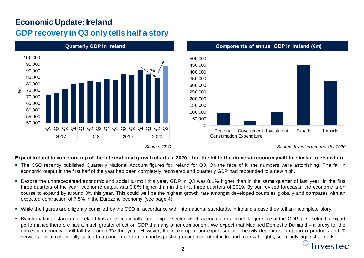## **Economic Update: Ireland GDP recovery in Q3 only tells half a story**



### Expect Ireland to come out top of the international growth charts in 2020 – but the hit to the domestic economy will be similar to elsewhere

- The CSO recently published Quarterly National Account figures for Ireland for Q3. On the face of it, the numbers were astonishing. The fall in economic output in the first half of the year had been completely recovered and quarterly GDP had rebounded to a new high.
- Despite the unprecedented economic and social turmoil this year, GDP in Q3 was 8.1% higher than in the same quarter of last year. In the first three quarters of the year, economic output was 3.8% higher than in the first three quarters of 2019. By our revised forecasts, the economy is on course to expand by around 3% this year. This could well be the highest growth rate amongst developed countries globally and compares with an expected contraction of 7.5% in the Eurozone economy (see page 4).
- While the figures are diligently compiled by the CSO in accordance with international standards, in Ireland's case they tell an incomplete story.
- By international standards, Ireland has an exceptionally large export sector which accounts for a much larger slice of the GDP 'pie'. Ireland's export performance therefore has a much greater effect on GDP than any other component. We expect that Modified Domestic Demand – a proxy for the domestic economy – will fall by around 7% this year. However, the make-up of our export sector – heavily dependent on pharma products and IT services – is almost ideally-suited to a pandemic situation and is pushing economic output in Ireland to new heights, seemingly against all odds.

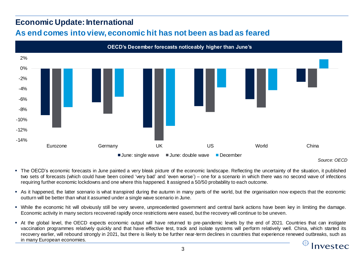### **Economic Update: International As end comes into view, economic hit has not been as bad as feared**



*Source: OECD*

- The OECD's economic forecasts in June painted a very bleak picture of the economic landscape. Reflecting the uncertainty of the situation, it published two sets of forecasts (which could have been coined 'very bad' and 'even worse') – one for a scenario in which there was no second wave of infections requiring further economic lockdowns and one where this happened. It assigned a 50/50 probability to each outcome.
- As it happened, the latter scenario is what transpired during the autumn in many parts of the world, but the organisation now expects that the economic outturn will be better than what it assumed under a single wave scenario in June.
- While the economic hit will obviously still be very severe, unprecedented government and central bank actions have been key in limiting the damage. Economic activity in many sectors recovered rapidly once restrictions were eased, but the recovery will continue to be uneven.
- At the global level, the OECD expects economic output will have returned to pre-pandemic levels by the end of 2021. Countries that can instigate vaccination programmes relatively quickly and that have effective test, track and isolate systems will perform relatively well. China, which started its recovery earlier, will rebound strongly in 2021, but there is likely to be further near-term declines in countries that experience renewed outbreaks, such as in many European economies.

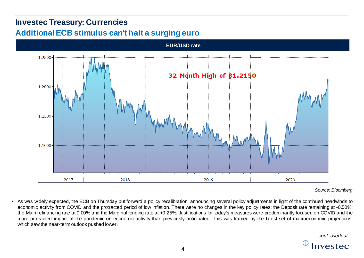## **Investec Treasury: Currencies Additional ECB stimulus can't halt a surging euro**



*Source: Bloomberg*

• As was widely expected, the ECB on Thursday put forward a policy recalibration, announcing several policy adjustments in light of the continued headwinds to economic activity from COVID and the protracted period of low inflation. There were no changes in the key policy rates; the Deposit rate remaining at -0.50%, the Main refinancing rate at 0.00% and the Marginal lending rate at +0.25%. Justifications for today's measures were predominantly focused on COVID and the more protracted impact of the pandemic on economic activity than previously anticipated. This was framed by the latest set of macroeconomic projections, which saw the near-term outlook pushed lower.

*cont. overleaf…*

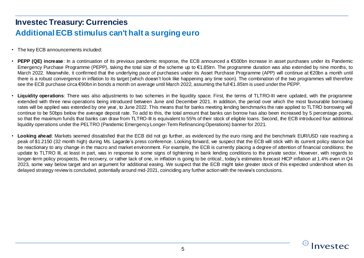## **Investec Treasury: Currencies Additional ECB stimulus can't halt a surging euro**

- The key ECB announcements included:
- **PEPP (QE) increase**: In a continuation of its previous pandemic response, the ECB announced a €500bn increase in asset purchases under its Pandemic Emergency Purchase Programme (PEPP), taking the total size of the scheme up to €1.85trn. The programme duration was also extended by nine months, to March 2022. Meanwhile, it confirmed that the underlying pace of purchases under its Asset Purchase Programme (APP) will continue at €20bn a month until there is a robust convergence in inflation to its target (which doesn't look like happening any time soon). The combination of the two programmes will therefore see the ECB purchase circa €90bn in bonds a month on average until March 2022, assuming the full €1.85tm is used under the PEPP.
- **Liquidity operations**: There was also adjustments to two schemes in the liquidity space. First, the terms of TLTRO-III were updated, with the programme extended with three new operations being introduced between June and December 2021. In addition, the period over which the most favourable borrowing rates will be applied was extended by one year, to June 2022. This means that for banks meeting lending benchmarks the rate applied to TLTRO borrowing will continue to be 50bps below the average deposit rate. To add to this, the total amount that banks can borrow has also been increased by 5 percentage points, so that the maximum funds that banks can draw from TLTRO-III is equivalent to 55% of their stock of eligible loans. Second, the ECB introduced four additional liquidity operations under the PELTRO (Pandemic Emergency Longer-Term Refinancing Operations) banner for 2021.
- **Looking ahead**: Markets seemed dissatisfied that the ECB did not go further, as evidenced by the euro rising and the benchmark EUR/USD rate reaching a peak of \$1.2150 (32 month high) during Ms. Lagarde's press conference. Looking forward, we suspect that the ECB will stick with its current policy stance but be reactionary to any change in the macro and market environment. For example, the ECB is currently placing a degree of attention of financial conditions: the update to TLTRO III, at least in part, was in response to some signs of tightening in bank lending conditions to the private sector. However, with regards to longer-term policy prospects, the recovery, or rather lack of one, in inflation is going to be critical:, today's estimates forecast HICP inflation at 1.4% even in Q4 2023, some way below target and an argument for additional easing. We suspect that the ECB might take greater stock of this expected undershoot when its delayed strategy reviewis concluded, potentially around mid-2021, coinciding any further action with the review's conclusions.

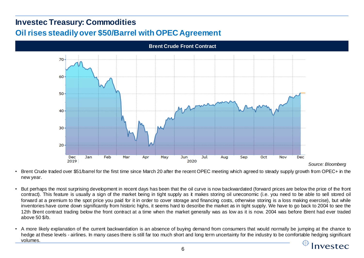## **Investec Treasury: Commodities Oil rises steadily over \$50/Barrel with OPEC Agreement**



- Brent Crude traded over \$51/barrel for the first time since March 20 after the recent OPEC meeting which agreed to steady supply growth from OPEC+ in the new year.
- But perhaps the most surprising development in recent days has been that the oil curve is now backwardated (forward prices are below the price of the front contract). This feature is usually a sign of the market being in tight supply as it makes storing oil uneconomic (i.e. you need to be able to sell stored oil forward at a premium to the spot price you paid for it in order to cover storage and financing costs, otherwise storing is a loss making exercise), but while inventories have come down significantly from historic highs, it seems hard to describe the market as in tight supply. We have to go back to 2004 to see the 12th Brent contract trading below the front contract at a time when the market generally was as low as it is now. 2004 was before Brent had ever traded above 50 \$/b.
- A more likely explanation of the current backwardation is an absence of buying demand from consumers that would normally be jumping at the chance to hedge at these levels - airlines. In many cases there is still far too much short and long term uncertainty for the industry to be comfortable hedging significant volumes.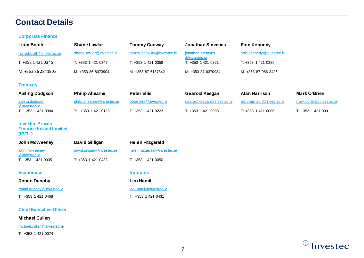### **Contact Details**

#### **Corporate Finance**

| Liam Booth             | <b>Shane Lawlor</b>       | <b>Tommy Conway</b>        | Jonathan Simmons                 | Eoin Kennedy             |
|------------------------|---------------------------|----------------------------|----------------------------------|--------------------------|
| liam.booth@investec.ie | shane.law lor@investec.ie | tommy.conw ay @investec.ie | jonathan.simmons<br>@investec.ie | eoin.kennedy@investec.ie |
| T: +353 1 421 0345     | T: +353 1 421 0347        | T: +353 1 421 0358         | T: +353 1 421 0351               | T: +353 1 421 0386       |
| M: +353 86 284 1805    | M: +353 86 8073904        | M: +353 87 6187842         | M: +353 87 6370984               | M: +353 87 986 3426      |

#### **Treasury**

| Aisling Dodgson                        | <b>Philip Ahearne</b>      | <b>Peter Ellis</b>      | Gearoid Keegan             | Alan Harrison             | Mark O'Brien            |
|----------------------------------------|----------------------------|-------------------------|----------------------------|---------------------------|-------------------------|
| <u>aisling.dodgson</u><br>@investec.ie | philip.ahearne@investec.ie | peter.ellis@investec.ie | gearoid.keegan@investec.ie | alan.harrison@investec.ie | mark.obrien@investec.ie |
| T: +353 1 421 0084                     | +353 1 421 0128            | T: +353 1 421 0223      | T: +353 1 421 0098         | T: +353 1 421 0086        | T: +353 1 421 0091      |

#### **Investec Private Finance Ireland Limited (IPFIL)**

| John McWeeney                  | David Gilligan             | <b>Helen Fitzgerald</b>      |
|--------------------------------|----------------------------|------------------------------|
| john.mcw eeney<br>@investec.ie | david.gilligan@investec.ie | helen.fitzgerald@investec.ie |
| T: +353 1 421 0005             | T: +353 1 421 0433         | $T: +353$ 1 421 0050         |

#### **Economics Ventures**

#### **Ronan Dunphy Leo Hamill**

[ronan.dunphy@investec.ie](mailto:ronan.dunphy@investec.ie)

T: +353 1 421 0468

#### **Chief Executive Officer**

#### **Michael Cullen**

[michael.cullen@investec.ie](mailto:michael.cullen@investec.ie)

T: +353 1 421 0074

|   | <b>Helen Fitzgerald</b> |
|---|-------------------------|
| e | helen.fitzgerald@iny    |
|   |                         |

[leo.Hamill@investec.ie](mailto:leo.Hamill@investec.ie)

#### T: +353 1 421 0431